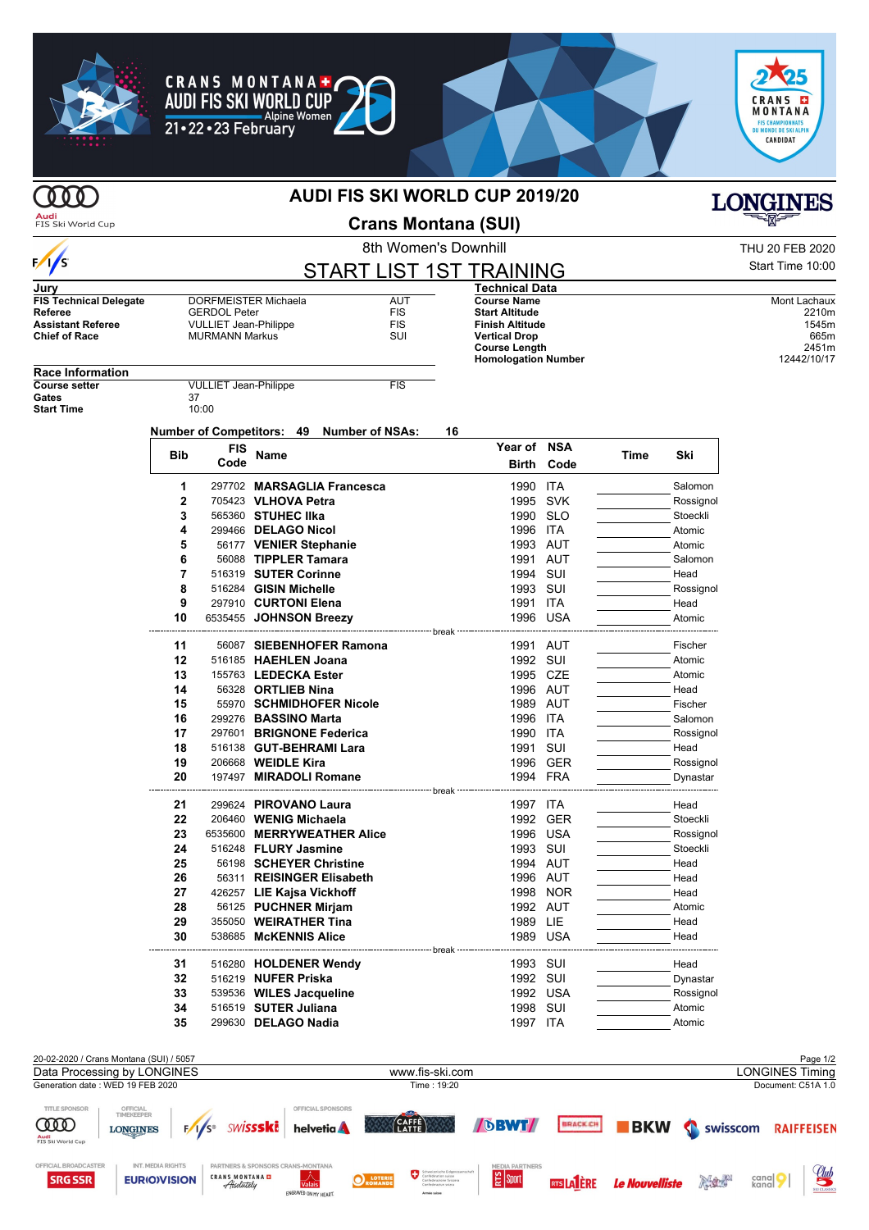

## **AUDI FIS SKI WORLD CUP 2019/20**

**Audi**<br>FIS Ski World Cup

 $\frac{1}{s}$ 

 $\gamma$ 

**Crans Montana (SUI)**

| <b>SKI WORLD CUP 2019/20</b> | <b>LONGINES</b>  |
|------------------------------|------------------|
| rans Montana (SUI)           | <u>alika k</u>   |
| 8th Women's Downhill         | THU 20 FEB 2020  |
| T I ICT 1CT TD AININIA       | Start Time 10:00 |

**Course Name** Mont Lachaux **Mont Lachaux** Mont Lachaux **Start Altitude** 2210m **Start Altitude** 2210m<br> **Finish Altitude** 2210m<br> **Start Altitude** 2210m<br> **Start Altitude** 2210m **Finish Altitude** 1545m **Vertical Drop** 665m<br> **Course Length** 2451m **Course Length 2451m**<br> **Homologation Number** 22451m

**Time Ski**

|  | START LIST 1ST TRAINING |
|--|-------------------------|
|  | <b>Technical Data</b>   |

**Homologation Number** 

**Year of NSA**

**Birth Code**

| Jury                          |                              |            |
|-------------------------------|------------------------------|------------|
| <b>FIS Technical Delegate</b> | DORFMEISTER Michaela         | AUT        |
| Referee                       | <b>GERDOL Peter</b>          | <b>FIS</b> |
| <b>Assistant Referee</b>      | <b>VULLIET Jean-Philippe</b> | <b>FIS</b> |
| <b>Chief of Race</b>          | <b>MURMANN Markus</b>        | SUI        |
|                               |                              |            |

**CRANS MONTANA+ AUDI FIS SKI WORLD CUP** 

Alpine<br>21•22•23 February

**Alpine Women** 

| <b>Race Information</b> |            |                              |             |                                           |    |
|-------------------------|------------|------------------------------|-------------|-------------------------------------------|----|
| <b>Course setter</b>    |            | <b>VULLIET Jean-Philippe</b> |             | <b>FIS</b>                                |    |
| Gates                   | 37         |                              |             |                                           |    |
| <b>Start Time</b>       |            | 10:00                        |             |                                           |    |
|                         |            |                              |             | Number of Competitors: 49 Number of NSAs: | 16 |
|                         | <b>Bib</b> | FIS<br>Code                  | <b>Name</b> |                                           |    |
|                         | 1          |                              |             | 297702 MARSAGLIA Francesca                |    |

| 1              | 297702 MARSAGLIA Francesca | 1990              | ITA        | Salomon   |
|----------------|----------------------------|-------------------|------------|-----------|
| $\overline{2}$ | 705423 VLHOVA Petra        |                   | 1995 SVK   | Rossignol |
| 3              | 565360 STUHEC IIka         |                   | 1990 SLO   | Stoeckli  |
| 4              | 299466 DELAGO Nicol        |                   | 1996 ITA   | Atomic    |
| 5              | 56177 VENIER Stephanie     |                   | 1993 AUT   | Atomic    |
| 6              | 56088 TIPPLER Tamara       |                   | 1991 AUT   | Salomon   |
| 7              | 516319 SUTER Corinne       |                   | 1994 SUI   | Head      |
| 8              | 516284 GISIN Michelle      |                   | 1993 SUI   | Rossignol |
| 9              | 297910 CURTONI Elena       |                   | 1991 ITA   | Head      |
| 10             | 6535455 JOHNSON Breezy     |                   | 1996 USA   | Atomic    |
|                |                            | --------- break · |            |           |
| 11             | 56087 SIEBENHOFER Ramona   |                   | 1991 AUT   | Fischer   |
| 12             | 516185 HAEHLEN Joana       |                   | 1992 SUI   | Atomic    |
| 13             | 155763 LEDECKA Ester       |                   | 1995 CZE   | Atomic    |
| 14             | 56328 ORTLIEB Nina         |                   | 1996 AUT   | Head      |
| 15             | 55970 SCHMIDHOFER Nicole   |                   | 1989 AUT   | Fischer   |
| 16             | 299276 BASSINO Marta       |                   | 1996 ITA   | Salomon   |
| 17             | 297601 BRIGNONE Federica   | 1990              | <b>ITA</b> | Rossignol |
| 18             | 516138 GUT-BEHRAMI Lara    | 1991              | SUI        | Head      |
| 19             | 206668 WEIDLE Kira         |                   | 1996 GER   | Rossignol |
| 20             | 197497 MIRADOLI Romane     |                   | 1994 FRA   | Dynastar  |
|                |                            | break             |            |           |
| 21             | 299624 PIROVANO Laura      |                   | 1997 ITA   | Head      |
| 22             | 206460 WENIG Michaela      |                   | 1992 GER   | Stoeckli  |
| 23             | 6535600 MERRYWEATHER Alice |                   | 1996 USA   | Rossignol |
| 24             | 516248 FLURY Jasmine       |                   | 1993 SUI   | Stoeckli  |
| 25             | 56198 SCHEYER Christine    |                   | 1994 AUT   | Head      |
| 26             | 56311 REISINGER Elisabeth  |                   | 1996 AUT   | Head      |
| 27             | 426257 LIE Kajsa Vickhoff  |                   | 1998 NOR   | Head      |
| 28             | 56125 PUCHNER Mirjam       |                   | 1992 AUT   | Atomic    |
| 29             | 355050 WEIRATHER Tina      |                   | 1989 LIE   | Head      |
| 30             | 538685 McKENNIS Alice      |                   | 1989 USA   | Head      |
| 31             | 516280 HOLDENER Wendy      |                   | 1993 SUI   | Head      |
| 32             | 516219 NUFER Priska        |                   | 1992 SUI   | Dynastar  |
| 33             | 539536 WILES Jacqueline    |                   | 1992 USA   | Rossignol |
| 34             | 516519 SUTER Juliana       | 1998              | SUI        | Atomic    |
| 35             | 299630 DELAGO Nadia        |                   | 1997 ITA   | Atomic    |
|                |                            |                   |            |           |